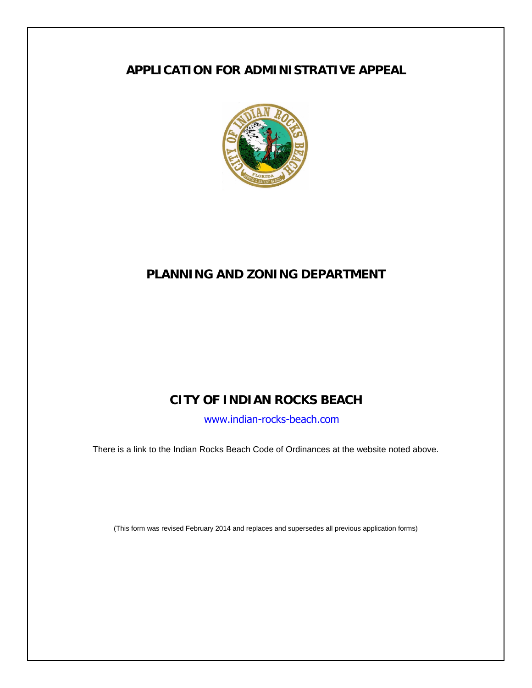# **APPLICATION FOR ADMINISTRATIVE APPEAL**



# **PLANNING AND ZONING DEPARTMENT**

# **CITY OF INDIAN ROCKS BEACH**

[www.indian-rocks-beach.com](http://www.indian-rocks-beach.com/)

There is a link to the Indian Rocks Beach Code of Ordinances at the website noted above.

(This form was revised February 2014 and replaces and supersedes all previous application forms)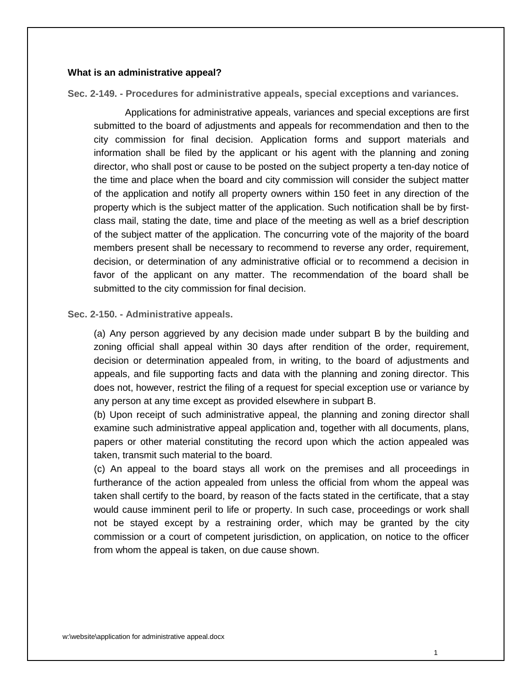#### **What is an administrative appeal?**

**Sec. 2-149. - Procedures for administrative appeals, special exceptions and variances.**

Applications for administrative appeals, variances and special exceptions are first submitted to the board of adjustments and appeals for recommendation and then to the city commission for final decision. Application forms and support materials and information shall be filed by the applicant or his agent with the planning and zoning director, who shall post or cause to be posted on the subject property a ten-day notice of the time and place when the board and city commission will consider the subject matter of the application and notify all property owners within 150 feet in any direction of the property which is the subject matter of the application. Such notification shall be by firstclass mail, stating the date, time and place of the meeting as well as a brief description of the subject matter of the application. The concurring vote of the majority of the board members present shall be necessary to recommend to reverse any order, requirement, decision, or determination of any administrative official or to recommend a decision in favor of the applicant on any matter. The recommendation of the board shall be submitted to the city commission for final decision.

#### **Sec. 2-150. - Administrative appeals.**

(a) Any person aggrieved by any decision made under subpart B by the building and zoning official shall appeal within 30 days after rendition of the order, requirement, decision or determination appealed from, in writing, to the board of adjustments and appeals, and file supporting facts and data with the planning and zoning director. This does not, however, restrict the filing of a request for special exception use or variance by any person at any time except as provided elsewhere in subpart B.

(b) Upon receipt of such administrative appeal, the planning and zoning director shall examine such administrative appeal application and, together with all documents, plans, papers or other material constituting the record upon which the action appealed was taken, transmit such material to the board.

(c) An appeal to the board stays all work on the premises and all proceedings in furtherance of the action appealed from unless the official from whom the appeal was taken shall certify to the board, by reason of the facts stated in the certificate, that a stay would cause imminent peril to life or property. In such case, proceedings or work shall not be stayed except by a restraining order, which may be granted by the city commission or a court of competent jurisdiction, on application, on notice to the officer from whom the appeal is taken, on due cause shown.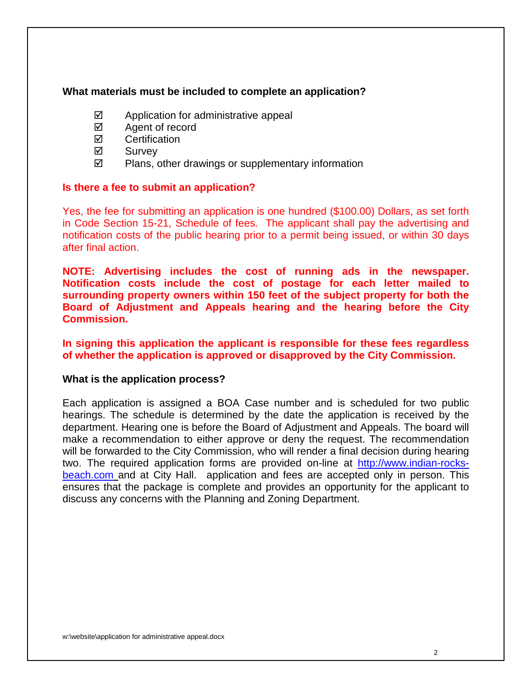### **What materials must be included to complete an application?**

- $\boxtimes$  Application for administrative appeal
- $\boxtimes$  Agent of record
- **Ø** Certification
- **⊠** Survev
- $\boxtimes$  Plans, other drawings or supplementary information

#### **Is there a fee to submit an application?**

Yes, the fee for submitting an application is one hundred (\$100.00) Dollars, as set forth in Code Section 15-21, Schedule of fees. The applicant shall pay the advertising and notification costs of the public hearing prior to a permit being issued, or within 30 days after final action.

**NOTE: Advertising includes the cost of running ads in the newspaper. Notification costs include the cost of postage for each letter mailed to surrounding property owners within 150 feet of the subject property for both the Board of Adjustment and Appeals hearing and the hearing before the City Commission.**

## **In signing this application the applicant is responsible for these fees regardless of whether the application is approved or disapproved by the City Commission.**

#### **What is the application process?**

Each application is assigned a BOA Case number and is scheduled for two public hearings. The schedule is determined by the date the application is received by the department. Hearing one is before the Board of Adjustment and Appeals. The board will make a recommendation to either approve or deny the request. The recommendation will be forwarded to the City Commission, who will render a final decision during hearing two. The required application forms are provided on-line at [http://www.indian-rocks](http://www.indian-rocks-beach.com/)[beach.com](http://www.indian-rocks-beach.com/) and at City Hall. application and fees are accepted only in person. This ensures that the package is complete and provides an opportunity for the applicant to discuss any concerns with the Planning and Zoning Department.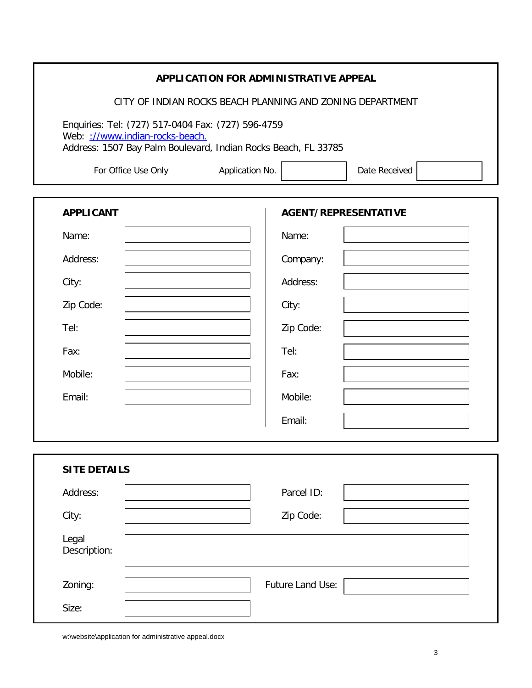|                                                                                                   | APPLICATION FOR ADMINISTRATIVE APPEAL                     |                  |                             |
|---------------------------------------------------------------------------------------------------|-----------------------------------------------------------|------------------|-----------------------------|
|                                                                                                   | CITY OF INDIAN ROCKS BEACH PLANNING AND ZONING DEPARTMENT |                  |                             |
| Enquiries: Tel: (727) 517-0404 Fax: (727) 596-4759                                                |                                                           |                  |                             |
| Web: ://www.indian-rocks-beach.<br>Address: 1507 Bay Palm Boulevard, Indian Rocks Beach, FL 33785 |                                                           |                  |                             |
| For Office Use Only                                                                               | Application No.                                           |                  | Date Received               |
|                                                                                                   |                                                           |                  |                             |
| <b>APPLICANT</b>                                                                                  |                                                           |                  | <b>AGENT/REPRESENTATIVE</b> |
| Name:                                                                                             |                                                           | Name:            |                             |
| Address:                                                                                          |                                                           | Company:         |                             |
| City:                                                                                             |                                                           | Address:         |                             |
| Zip Code:                                                                                         |                                                           | City:            |                             |
| Tel:                                                                                              |                                                           | Zip Code:        |                             |
| Fax:                                                                                              |                                                           | Tel:             |                             |
| Mobile:                                                                                           |                                                           | Fax:             |                             |
| Email:                                                                                            |                                                           | Mobile:          |                             |
|                                                                                                   |                                                           | Email:           |                             |
|                                                                                                   |                                                           |                  |                             |
| <b>SITE DETAILS</b>                                                                               |                                                           |                  |                             |
| Address:                                                                                          |                                                           | Parcel ID:       |                             |
| City:                                                                                             |                                                           | Zip Code:        |                             |
| Legal<br>Description:                                                                             |                                                           |                  |                             |
| Zoning:                                                                                           |                                                           | Future Land Use: |                             |
| Size:                                                                                             |                                                           |                  |                             |

w:\website\application for administrative appeal.docx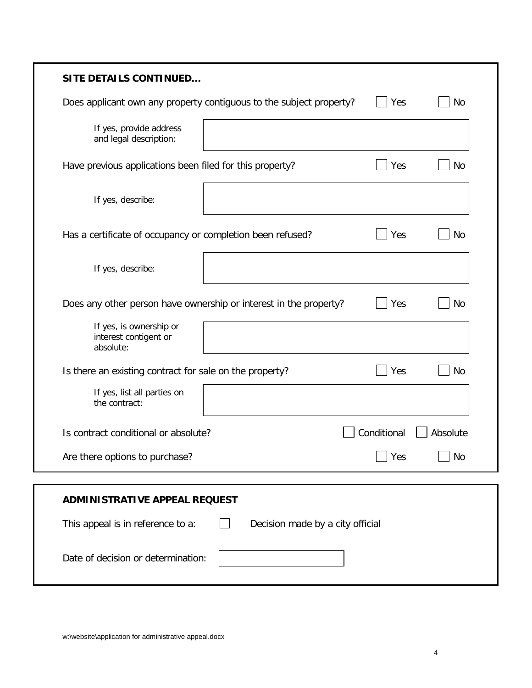| <b>SITE DETAILS CONTINUED</b>                                         |           |
|-----------------------------------------------------------------------|-----------|
| Does applicant own any property contiguous to the subject property?   | Yes<br>No |
| If yes, provide address<br>and legal description:                     |           |
| Have previous applications been filed for this property?              | Yes<br>No |
| If yes, describe:                                                     |           |
| Has a certificate of occupancy or completion been refused?            | Yes<br>No |
| If yes, describe:                                                     |           |
| Does any other person have ownership or interest in the property?     | Yes<br>No |
| If yes, is ownership or<br>interest contigent or<br>absolute:         |           |
| Is there an existing contract for sale on the property?               | Yes<br>No |
| If yes, list all parties on<br>the contract:                          |           |
| Conditional<br>Is contract conditional or absolute?                   | Absolute  |
| Are there options to purchase?                                        | No<br>Yes |
|                                                                       |           |
| <b>ADMINISTRATIVE APPEAL REQUEST</b>                                  |           |
| This appeal is in reference to a:<br>Decision made by a city official |           |
| Date of decision or determination:                                    |           |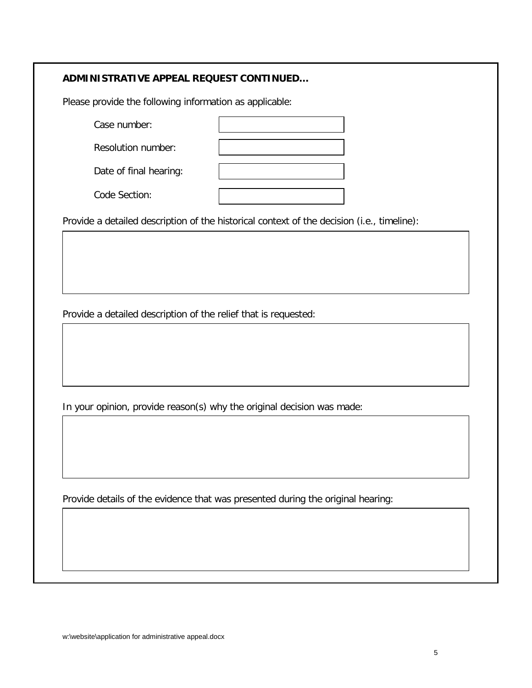#### **ADMINISTRATIVE APPEAL REQUEST CONTINUED…**

Please provide the following information as applicable:

| Case number:           |  |
|------------------------|--|
| Resolution number:     |  |
| Date of final hearing: |  |
| Code Section:          |  |

Provide a detailed description of the historical context of the decision (i.e., timeline):

Provide a detailed description of the relief that is requested:

In your opinion, provide reason(s) why the original decision was made:

Provide details of the evidence that was presented during the original hearing: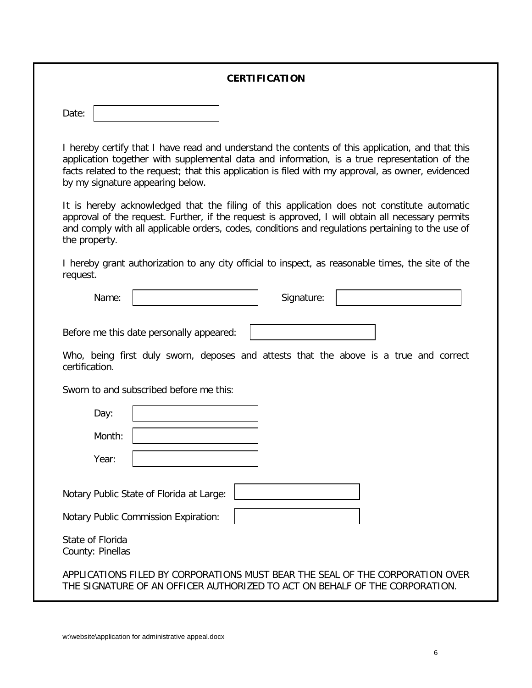#### **CERTIFICATION**

| Date: |  |
|-------|--|
|-------|--|

I hereby certify that I have read and understand the contents of this application, and that this application together with supplemental data and information, is a true representation of the facts related to the request; that this application is filed with my approval, as owner, evidenced by my signature appearing below.

It is hereby acknowledged that the filing of this application does not constitute automatic approval of the request. Further, if the request is approved, I will obtain all necessary permits and comply with all applicable orders, codes, conditions and regulations pertaining to the use of the property.

I hereby grant authorization to any city official to inspect, as reasonable times, the site of the request.

| Name: | Signature: |  |
|-------|------------|--|
|       |            |  |

Before me this date personally appeared:

Who, being first duly sworn, deposes and attests that the above is a true and correct certification.

Sworn to and subscribed before me this:

| Day:                                 |                                                                                                                                                              |
|--------------------------------------|--------------------------------------------------------------------------------------------------------------------------------------------------------------|
| Month:                               |                                                                                                                                                              |
| Year:                                |                                                                                                                                                              |
|                                      | Notary Public State of Florida at Large:<br>Notary Public Commission Expiration:                                                                             |
| State of Florida<br>County: Pinellas |                                                                                                                                                              |
|                                      | APPLICATIONS FILED BY CORPORATIONS MUST BEAR THE SEAL OF THE CORPORATION OVER<br>THE SIGNATURE OF AN OFFICER AUTHORIZED TO ACT ON BEHALF OF THE CORPORATION. |